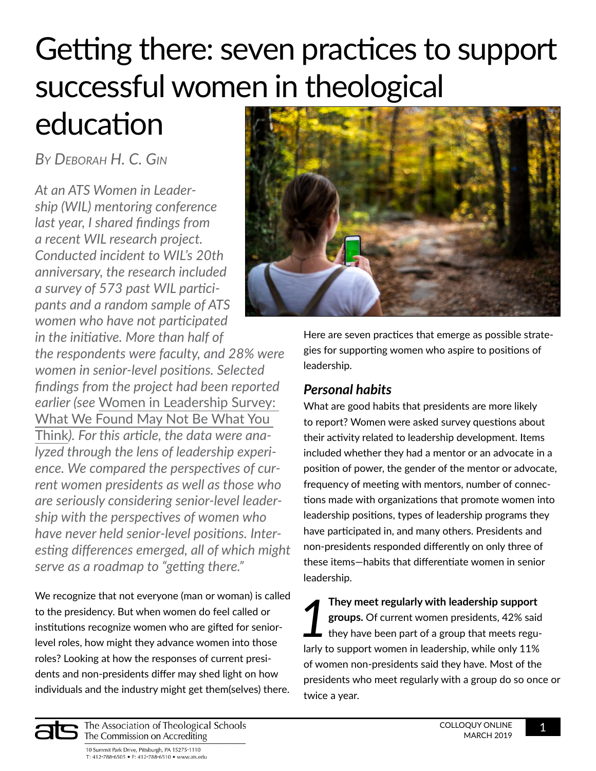# Getting there: seven practices to support successful women in theological

## education

*By Deborah H. C. Gin*

*At an ATS Women in Leadership (WIL) mentoring conference last year, I shared findings from a recent WIL research project. Conducted incident to WIL's 20th anniversary, the research included a survey of 573 past WIL participants and a random sample of ATS women who have not participated* 

*in the initiative. More than half of the respondents were faculty, and 28% were women in senior-level positions. Selected findings from the project had been reported earlier (see* [Women in Leadership Survey:](https://www.ats.edu/uploads/resources/publications-presentations/colloquy-online/women-in-leadership-survey.pdf)  [What We Found May Not Be What You](https://www.ats.edu/uploads/resources/publications-presentations/colloquy-online/women-in-leadership-survey.pdf)  [Think](https://www.ats.edu/uploads/resources/publications-presentations/colloquy-online/women-in-leadership-survey.pdf)*). For this article, the data were analyzed through the lens of leadership experience. We compared the perspectives of current women presidents as well as those who are seriously considering senior-level leadership with the perspectives of women who have never held senior-level positions. Interesting differences emerged, all of which might serve as a roadmap to "getting there."*

We recognize that not everyone (man or woman) is called to the presidency. But when women do feel called or institutions recognize women who are gifted for seniorlevel roles, how might they advance women into those roles? Looking at how the responses of current presidents and non-presidents differ may shed light on how individuals and the industry might get them(selves) there.



Here are seven practices that emerge as possible strategies for supporting women who aspire to positions of leadership.

### *Personal habits*

What are good habits that presidents are more likely to report? Women were asked survey questions about their activity related to leadership development. Items included whether they had a mentor or an advocate in a position of power, the gender of the mentor or advocate, frequency of meeting with mentors, number of connections made with organizations that promote women into leadership positions, types of leadership programs they have participated in, and many others. Presidents and non-presidents responded differently on only three of these items—habits that differentiate women in senior leadership.

**1 They meet regularly with leadership support groups.** Of current women presidents, 42% said they have been part of a group that meets regularities **groups.** Of current women presidents, 42% said they have been part of a group that meets regularly to support women in leadership, while only 11% of women non-presidents said they have. Most of the presidents who meet regularly with a group do so once or twice a year.

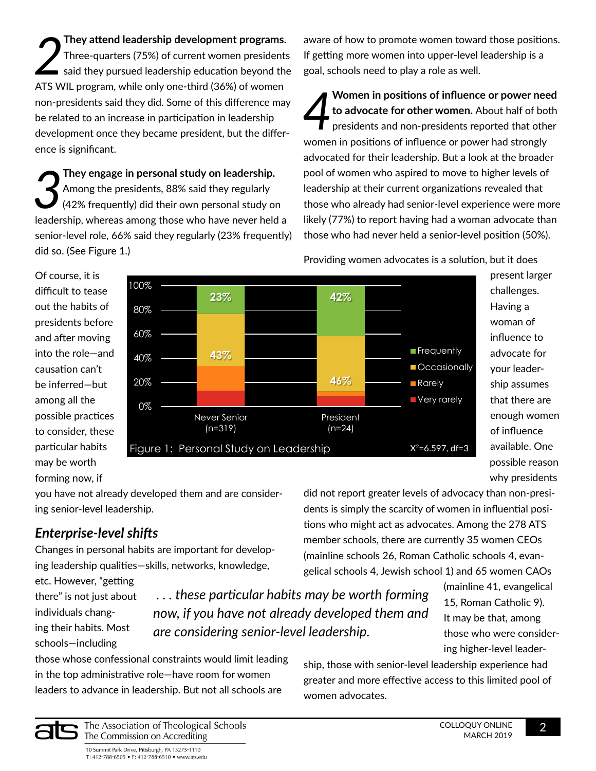*2* **They attend leadership development programs.**  Three-quarters (75%) of current women presidents said they pursued leadership education beyond the ATS WIL program, while only one-third (36%) of women non-presidents said they did. Some of this difference may be related to an increase in participation in leadership development once they became president, but the difference is significant.

*3* **They engage in personal study on leadership.**  Among the presidents, 88% said they regularly (42% frequently) did their own personal study on leadership, whereas among those who have never held a senior-level role, 66% said they regularly (23% frequently) did so. (See Figure 1.)

aware of how to promote women toward those positions. If getting more women into upper-level leadership is a goal, schools need to play a role as well.

*4* **Women in positions of influence or power need to advocate for other women.** About half of both presidents and non-presidents reported that other women in positions of influence or power had strongly advocated for their leadership. But a look at the broader pool of women who aspired to move to higher levels of leadership at their current organizations revealed that those who already had senior-level experience were more likely (77%) to report having had a woman advocate than those who had never held a senior-level position (50%).

Providing women advocates is a solution, but it does

Of course, it is difficult to tease out the habits of presidents before and after moving into the role—and causation can't be inferred—but among all the possible practices to consider, these particular habits may be worth forming now, if



present larger challenges. Having a woman of influence to advocate for your leadership assumes that there are enough women of influence available. One possible reason why presidents

you have not already developed them and are considering senior-level leadership.

### *Enterprise-level shifts*

Changes in personal habits are important for developing leadership qualities—skills, networks, knowledge,

etc. However, "getting there" is not just about individuals changing their habits. Most schools—including

 *. . . these particular habits may be worth forming now, if you have not already developed them and are considering senior-level leadership.*

(mainline 41, evangelical 15, Roman Catholic 9). It may be that, among those who were considering higher-level leader-

those whose confessional constraints would limit leading in the top administrative role—have room for women leaders to advance in leadership. But not all schools are

ship, those with senior-level leadership experience had greater and more effective access to this limited pool of women advocates.

did not report greater levels of advocacy than non-presidents is simply the scarcity of women in influential positions who might act as advocates. Among the 278 ATS member schools, there are currently 35 women CEOs (mainline schools 26, Roman Catholic schools 4, evangelical schools 4, Jewish school 1) and 65 women CAOs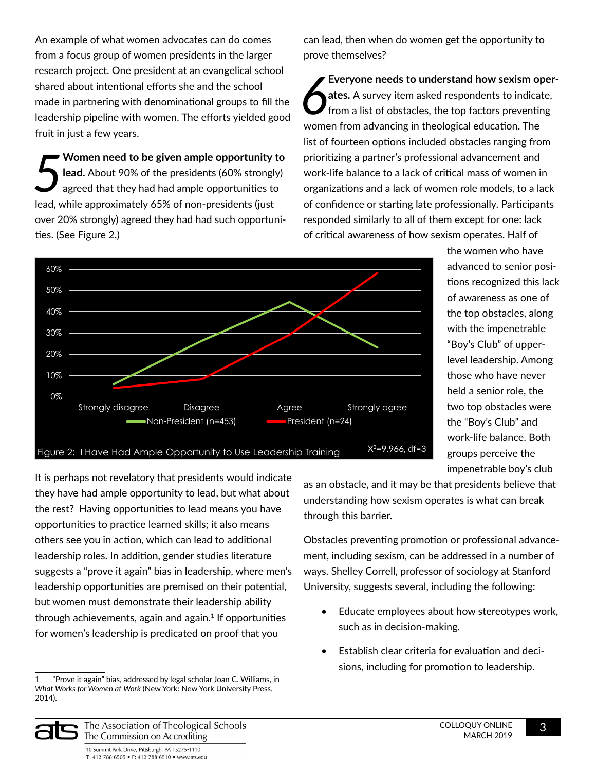An example of what women advocates can do comes from a focus group of women presidents in the larger research project. One president at an evangelical school shared about intentional efforts she and the school made in partnering with denominational groups to fill the leadership pipeline with women. The efforts yielded good fruit in just a few years.

*5* **Women need to be given ample opportunity to lead.** About 90% of the presidents (60% strongly) agreed that they had had ample opportunities to lead, while approximately 65% of non-presidents (just over 20% strongly) agreed they had had such opportunities. (See Figure 2.)

can lead, then when do women get the opportunity to prove themselves?

*6* **Everyone needs to understand how sexism operates.** A survey item asked respondents to indicate, from a list of obstacles, the top factors preventing women from advancing in theological education. The list of fourteen options included obstacles ranging from prioritizing a partner's professional advancement and work-life balance to a lack of critical mass of women in organizations and a lack of women role models, to a lack of confidence or starting late professionally. Participants responded similarly to all of them except for one: lack of critical awareness of how sexism operates. Half of



the women who have advanced to senior positions recognized this lack of awareness as one of the top obstacles, along with the impenetrable "Boy's Club" of upperlevel leadership. Among those who have never held a senior role, the two top obstacles were the "Boy's Club" and work-life balance. Both groups perceive the impenetrable boy's club

It is perhaps not revelatory that presidents would indicate they have had ample opportunity to lead, but what about the rest? Having opportunities to lead means you have opportunities to practice learned skills; it also means others see you in action, which can lead to additional leadership roles. In addition, gender studies literature suggests a "prove it again" bias in leadership, where men's leadership opportunities are premised on their potential, but women must demonstrate their leadership ability through achievements, again and again. $1$  If opportunities for women's leadership is predicated on proof that you

1 "Prove it again" bias, addressed by legal scholar Joan C. Williams, in *What Works for Women at Work* (New York: New York University Press, 2014).

as an obstacle, and it may be that presidents believe that understanding how sexism operates is what can break through this barrier.

Obstacles preventing promotion or professional advancement, including sexism, can be addressed in a number of ways. Shelley Correll, professor of sociology at Stanford University, suggests several, including the following:

- Educate employees about how stereotypes work, such as in decision-making.
- Establish clear criteria for evaluation and decisions, including for promotion to leadership.



The Association of Theological Schools The Commission on Accrediting